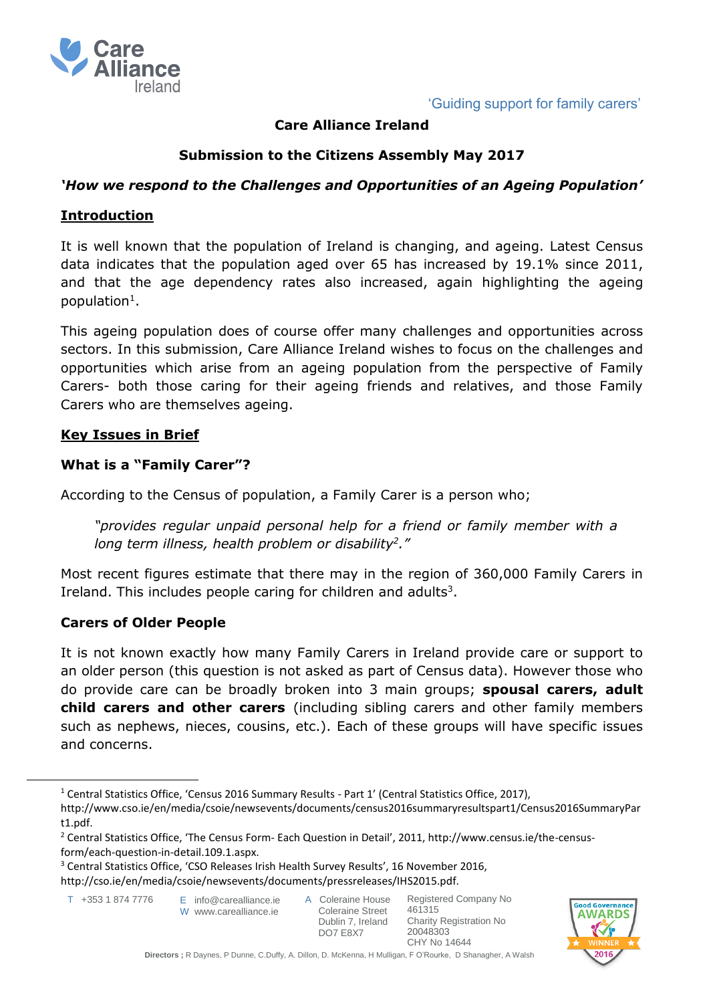

# **Care Alliance Ireland**

#### **Submission to the Citizens Assembly May 2017**

#### *'How we respond to the Challenges and Opportunities of an Ageing Population'*

### **Introduction**

It is well known that the population of Ireland is changing, and ageing. Latest Census data indicates that the population aged over 65 has increased by 19.1% since 2011, and that the age dependency rates also increased, again highlighting the ageing population $<sup>1</sup>$ .</sup>

This ageing population does of course offer many challenges and opportunities across sectors. In this submission, Care Alliance Ireland wishes to focus on the challenges and opportunities which arise from an ageing population from the perspective of Family Carers- both those caring for their ageing friends and relatives, and those Family Carers who are themselves ageing.

#### **Key Issues in Brief**

#### **What is a "Family Carer"?**

According to the Census of population, a Family Carer is a person who;

*"provides regular unpaid personal help for a friend or family member with a long term illness, health problem or disability<sup>2</sup> ."*

Most recent figures estimate that there may in the region of 360,000 Family Carers in Ireland. This includes people caring for children and adults<sup>3</sup>.

#### **Carers of Older People**

It is not known exactly how many Family Carers in Ireland provide care or support to an older person (this question is not asked as part of Census data). However those who do provide care can be broadly broken into 3 main groups; **spousal carers, adult child carers and other carers** (including sibling carers and other family members such as nephews, nieces, cousins, etc.). Each of these groups will have specific issues and concerns.

t1.pdf.

 $\overline{a}$ 

T +353 1 874 7776

Registered Company No 461315 Charity Registration No 20048303 CHY No 14644



A Coleraine House Coleraine Street Dublin 7, Ireland

<sup>&</sup>lt;sup>1</sup> Central Statistics Office, 'Census 2016 Summary Results - Part 1' (Central Statistics Office, 2017), http://www.cso.ie/en/media/csoie/newsevents/documents/census2016summaryresultspart1/Census2016SummaryPar

<sup>2</sup> Central Statistics Office, 'The Census Form- Each Question in Detail', 2011, http://www.census.ie/the-censusform/each-question-in-detail.109.1.aspx.

<sup>&</sup>lt;sup>3</sup> Central Statistics Office, 'CSO Releases Irish Health Survey Results', 16 November 2016, http://cso.ie/en/media/csoie/newsevents/documents/pressreleases/IHS2015.pdf.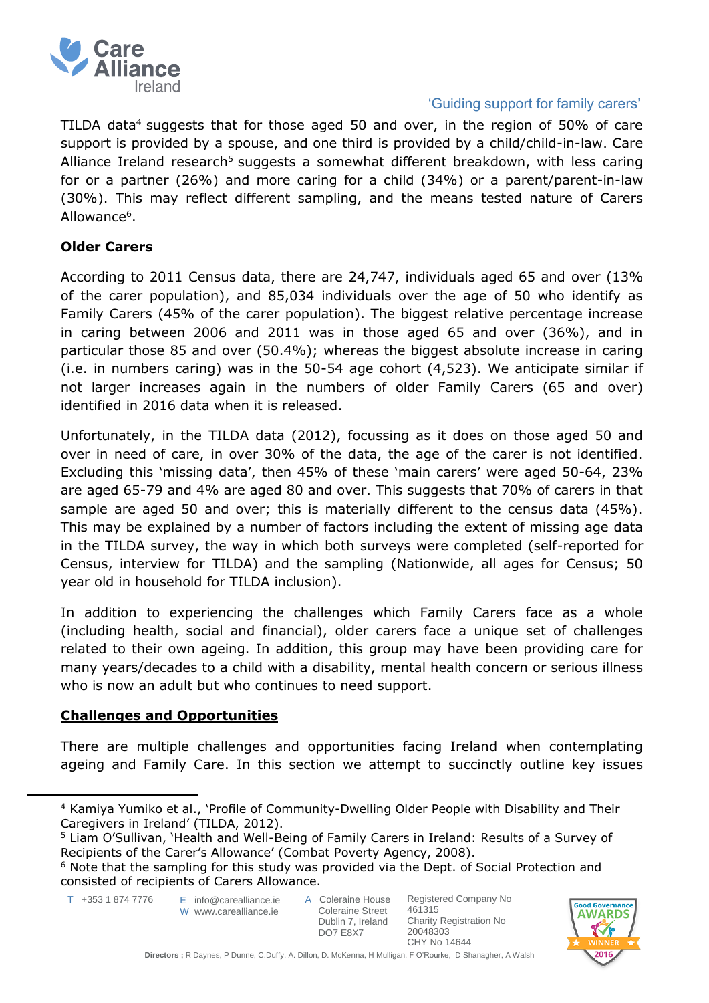

TILDA data<sup>4</sup> suggests that for those aged 50 and over, in the region of 50% of care support is provided by a spouse, and one third is provided by a child/child-in-law. Care Alliance Ireland research<sup>5</sup> suggests a somewhat different breakdown, with less caring for or a partner (26%) and more caring for a child (34%) or a parent/parent-in-law (30%). This may reflect different sampling, and the means tested nature of Carers Allowance<sup>6</sup>.

# **Older Carers**

According to 2011 Census data, there are 24,747, individuals aged 65 and over (13% of the carer population), and 85,034 individuals over the age of 50 who identify as Family Carers (45% of the carer population). The biggest relative percentage increase in caring between 2006 and 2011 was in those aged 65 and over (36%), and in particular those 85 and over (50.4%); whereas the biggest absolute increase in caring (i.e. in numbers caring) was in the 50-54 age cohort (4,523). We anticipate similar if not larger increases again in the numbers of older Family Carers (65 and over) identified in 2016 data when it is released.

Unfortunately, in the TILDA data (2012), focussing as it does on those aged 50 and over in need of care, in over 30% of the data, the age of the carer is not identified. Excluding this 'missing data', then 45% of these 'main carers' were aged 50-64, 23% are aged 65-79 and 4% are aged 80 and over. This suggests that 70% of carers in that sample are aged 50 and over; this is materially different to the census data (45%). This may be explained by a number of factors including the extent of missing age data in the TILDA survey, the way in which both surveys were completed (self-reported for Census, interview for TILDA) and the sampling (Nationwide, all ages for Census; 50 year old in household for TILDA inclusion).

In addition to experiencing the challenges which Family Carers face as a whole (including health, social and financial), older carers face a unique set of challenges related to their own ageing. In addition, this group may have been providing care for many years/decades to a child with a disability, mental health concern or serious illness who is now an adult but who continues to need support.

### **Challenges and Opportunities**

There are multiple challenges and opportunities facing Ireland when contemplating ageing and Family Care. In this section we attempt to succinctly outline key issues

T +353 1 874 7776

 $\overline{a}$ 



<sup>4</sup> Kamiya Yumiko et al., 'Profile of Community-Dwelling Older People with Disability and Their Caregivers in Ireland' (TILDA, 2012).

<sup>5</sup> Liam O'Sullivan, 'Health and Well-Being of Family Carers in Ireland: Results of a Survey of Recipients of the Carer's Allowance' (Combat Poverty Agency, 2008).

<sup>6</sup> Note that the sampling for this study was provided via the Dept. of Social Protection and consisted of recipients of Carers Allowance.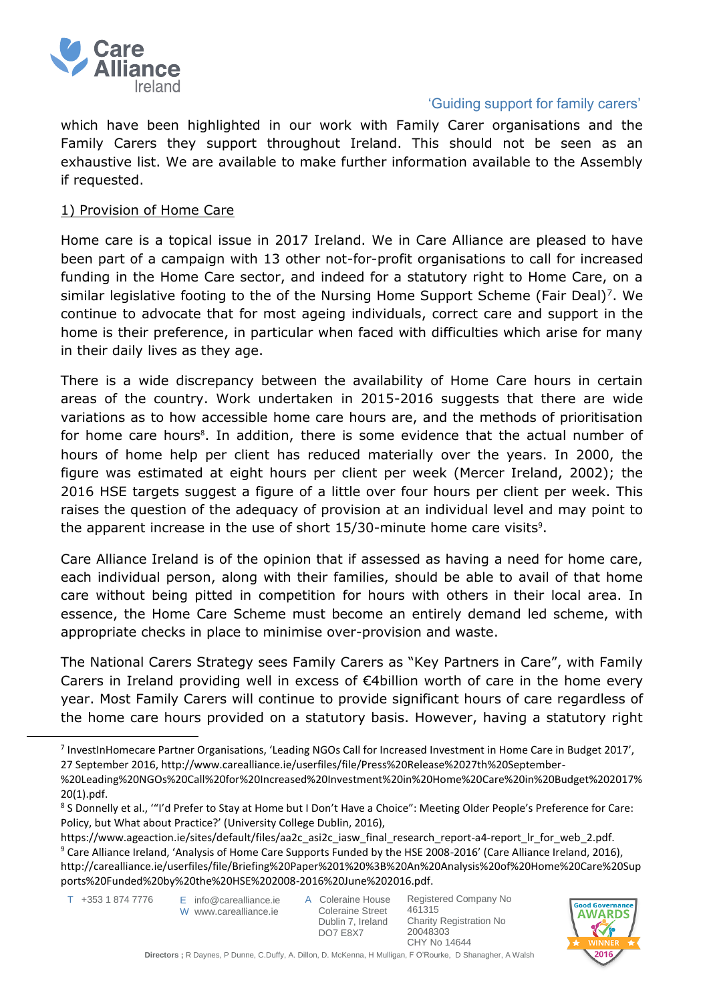

which have been highlighted in our work with Family Carer organisations and the Family Carers they support throughout Ireland. This should not be seen as an exhaustive list. We are available to make further information available to the Assembly if requested.

#### 1) Provision of Home Care

Home care is a topical issue in 2017 Ireland. We in Care Alliance are pleased to have been part of a campaign with 13 other not-for-profit organisations to call for increased funding in the Home Care sector, and indeed for a statutory right to Home Care, on a similar legislative footing to the of the Nursing Home Support Scheme (Fair Deal)<sup>7</sup>. We continue to advocate that for most ageing individuals, correct care and support in the home is their preference, in particular when faced with difficulties which arise for many in their daily lives as they age.

There is a wide discrepancy between the availability of Home Care hours in certain areas of the country. Work undertaken in 2015-2016 suggests that there are wide variations as to how accessible home care hours are, and the methods of prioritisation for home care hours<sup>8</sup>. In addition, there is some evidence that the actual number of hours of home help per client has reduced materially over the years. In 2000, the figure was estimated at eight hours per client per week (Mercer Ireland, 2002); the 2016 HSE targets suggest a figure of a little over four hours per client per week. This raises the question of the adequacy of provision at an individual level and may point to the apparent increase in the use of short  $15/30$ -minute home care visits<sup>9</sup>.

Care Alliance Ireland is of the opinion that if assessed as having a need for home care, each individual person, along with their families, should be able to avail of that home care without being pitted in competition for hours with others in their local area. In essence, the Home Care Scheme must become an entirely demand led scheme, with appropriate checks in place to minimise over-provision and waste.

The National Carers Strategy sees Family Carers as "Key Partners in Care", with Family Carers in Ireland providing well in excess of  $\epsilon$ 4billion worth of care in the home every year. Most Family Carers will continue to provide significant hours of care regardless of the home care hours provided on a statutory basis. However, having a statutory right

https://www.ageaction.ie/sites/default/files/aa2c\_asi2c\_iasw\_final\_research\_report-a4-report\_lr\_for\_web\_2.pdf. <sup>9</sup> Care Alliance Ireland, 'Analysis of Home Care Supports Funded by the HSE 2008-2016' (Care Alliance Ireland, 2016), http://carealliance.ie/userfiles/file/Briefing%20Paper%201%20%3B%20An%20Analysis%20of%20Home%20Care%20Sup ports%20Funded%20by%20the%20HSE%202008-2016%20June%202016.pdf.

T +353 1 874 7776

 $\overline{a}$ 

E info@carealliance.ie W www.carealliance.ie

A Coleraine House Coleraine Street Dublin 7, Ireland DO7 E8X7



<sup>&</sup>lt;sup>7</sup> InvestInHomecare Partner Organisations, 'Leading NGOs Call for Increased Investment in Home Care in Budget 2017', 27 September 2016, http://www.carealliance.ie/userfiles/file/Press%20Release%2027th%20September-

<sup>%20</sup>Leading%20NGOs%20Call%20for%20Increased%20Investment%20in%20Home%20Care%20in%20Budget%202017% 20(1).pdf.

<sup>8</sup> S Donnelly et al., '"I'd Prefer to Stay at Home but I Don't Have a Choice": Meeting Older People's Preference for Care: Policy, but What about Practice?' (University College Dublin, 2016),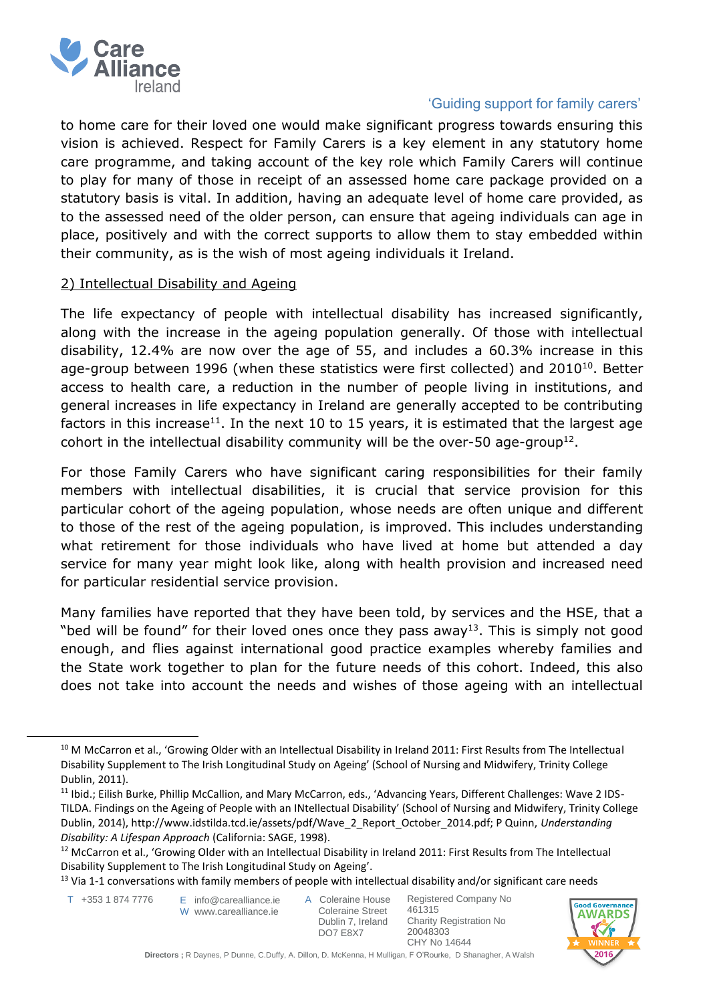

to home care for their loved one would make significant progress towards ensuring this vision is achieved. Respect for Family Carers is a key element in any statutory home care programme, and taking account of the key role which Family Carers will continue to play for many of those in receipt of an assessed home care package provided on a statutory basis is vital. In addition, having an adequate level of home care provided, as to the assessed need of the older person, can ensure that ageing individuals can age in place, positively and with the correct supports to allow them to stay embedded within their community, as is the wish of most ageing individuals it Ireland.

### 2) Intellectual Disability and Ageing

The life expectancy of people with intellectual disability has increased significantly, along with the increase in the ageing population generally. Of those with intellectual disability, 12.4% are now over the age of 55, and includes a 60.3% increase in this age-group between 1996 (when these statistics were first collected) and 2010<sup>10</sup>. Better access to health care, a reduction in the number of people living in institutions, and general increases in life expectancy in Ireland are generally accepted to be contributing factors in this increase<sup>11</sup>. In the next 10 to 15 years, it is estimated that the largest age cohort in the intellectual disability community will be the over-50 age-group<sup>12</sup>.

For those Family Carers who have significant caring responsibilities for their family members with intellectual disabilities, it is crucial that service provision for this particular cohort of the ageing population, whose needs are often unique and different to those of the rest of the ageing population, is improved. This includes understanding what retirement for those individuals who have lived at home but attended a day service for many year might look like, along with health provision and increased need for particular residential service provision.

Many families have reported that they have been told, by services and the HSE, that a "bed will be found" for their loved ones once they pass away $^{13}$ . This is simply not good enough, and flies against international good practice examples whereby families and the State work together to plan for the future needs of this cohort. Indeed, this also does not take into account the needs and wishes of those ageing with an intellectual

T +353 1 874 7776

 $\overline{a}$ 

E info@carealliance.ie W www.carealliance.ie



<sup>&</sup>lt;sup>10</sup> M McCarron et al., 'Growing Older with an Intellectual Disability in Ireland 2011: First Results from The Intellectual Disability Supplement to The Irish Longitudinal Study on Ageing' (School of Nursing and Midwifery, Trinity College Dublin, 2011).

<sup>11</sup> Ibid.; Eilish Burke, Phillip McCallion, and Mary McCarron, eds., 'Advancing Years, Different Challenges: Wave 2 IDS-TILDA. Findings on the Ageing of People with an INtellectual Disability' (School of Nursing and Midwifery, Trinity College Dublin, 2014), http://www.idstilda.tcd.ie/assets/pdf/Wave\_2\_Report\_October\_2014.pdf; P Quinn, *Understanding Disability: A Lifespan Approach* (California: SAGE, 1998).

<sup>&</sup>lt;sup>12</sup> McCarron et al., 'Growing Older with an Intellectual Disability in Ireland 2011: First Results from The Intellectual Disability Supplement to The Irish Longitudinal Study on Ageing'.

<sup>&</sup>lt;sup>13</sup> Via 1-1 conversations with family members of people with intellectual disability and/or significant care needs

A Coleraine House Coleraine Street Dublin 7, Ireland DO7 E8X7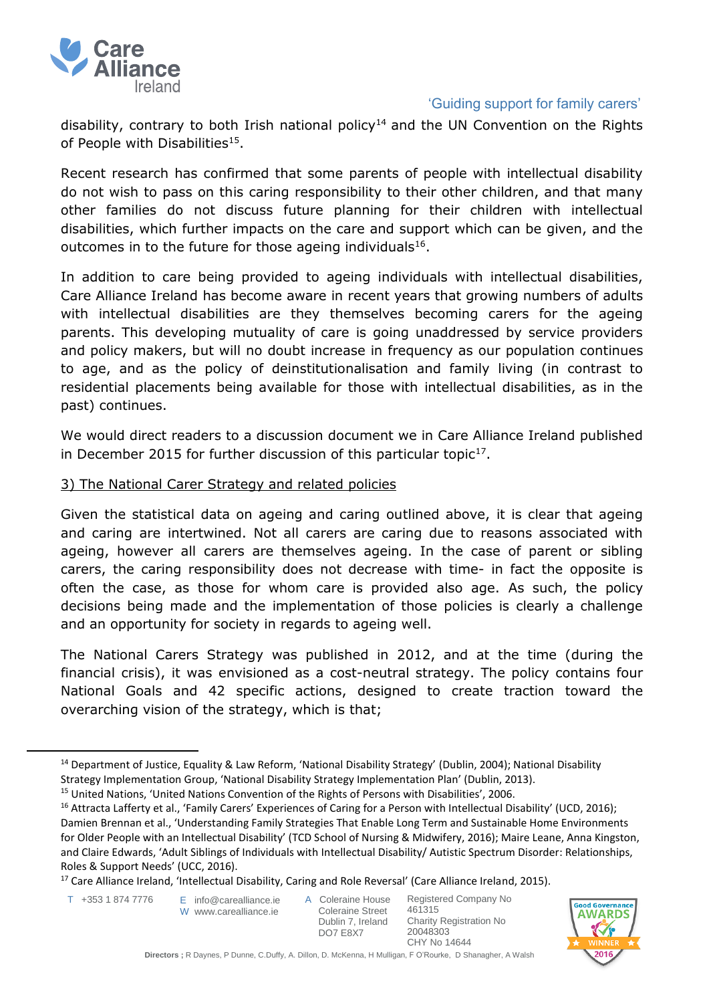

disability, contrary to both Irish national policy<sup>14</sup> and the UN Convention on the Rights of People with Disabilities $15$ .

Recent research has confirmed that some parents of people with intellectual disability do not wish to pass on this caring responsibility to their other children, and that many other families do not discuss future planning for their children with intellectual disabilities, which further impacts on the care and support which can be given, and the outcomes in to the future for those ageing individuals<sup>16</sup>.

In addition to care being provided to ageing individuals with intellectual disabilities, Care Alliance Ireland has become aware in recent years that growing numbers of adults with intellectual disabilities are they themselves becoming carers for the ageing parents. This developing mutuality of care is going unaddressed by service providers and policy makers, but will no doubt increase in frequency as our population continues to age, and as the policy of deinstitutionalisation and family living (in contrast to residential placements being available for those with intellectual disabilities, as in the past) continues.

We would direct readers to a discussion document we in Care Alliance Ireland published in December 2015 for further discussion of this particular topic $17$ .

### 3) The National Carer Strategy and related policies

Given the statistical data on ageing and caring outlined above, it is clear that ageing and caring are intertwined. Not all carers are caring due to reasons associated with ageing, however all carers are themselves ageing. In the case of parent or sibling carers, the caring responsibility does not decrease with time- in fact the opposite is often the case, as those for whom care is provided also age. As such, the policy decisions being made and the implementation of those policies is clearly a challenge and an opportunity for society in regards to ageing well.

The National Carers Strategy was published in 2012, and at the time (during the financial crisis), it was envisioned as a cost-neutral strategy. The policy contains four National Goals and 42 specific actions, designed to create traction toward the overarching vision of the strategy, which is that;

 $\overline{a}$ 

E info@carealliance.ie W www.carealliance.ie

A Coleraine House Coleraine Street Dublin 7, Ireland Registered Company No 461315 Charity Registration No 20048303 CHY No 14644



<sup>&</sup>lt;sup>14</sup> Department of Justice, Equality & Law Reform, 'National Disability Strategy' (Dublin, 2004); National Disability Strategy Implementation Group, 'National Disability Strategy Implementation Plan' (Dublin, 2013).

<sup>&</sup>lt;sup>15</sup> United Nations, 'United Nations Convention of the Rights of Persons with Disabilities', 2006.

<sup>&</sup>lt;sup>16</sup> Attracta Lafferty et al., 'Family Carers' Experiences of Caring for a Person with Intellectual Disability' (UCD, 2016); Damien Brennan et al., 'Understanding Family Strategies That Enable Long Term and Sustainable Home Environments for Older People with an Intellectual Disability' (TCD School of Nursing & Midwifery, 2016); Maire Leane, Anna Kingston, and Claire Edwards, 'Adult Siblings of Individuals with Intellectual Disability/ Autistic Spectrum Disorder: Relationships, Roles & Support Needs' (UCC, 2016).

<sup>&</sup>lt;sup>17</sup> Care Alliance Ireland, 'Intellectual Disability, Caring and Role Reversal' (Care Alliance Ireland, 2015).

T +353 1 874 7776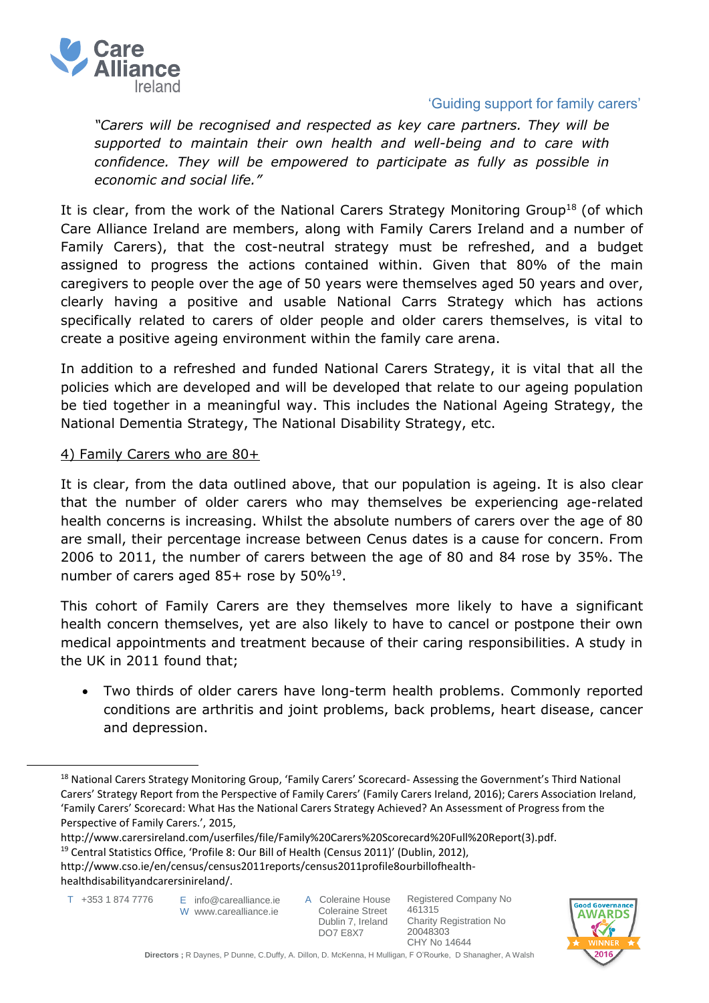

*"Carers will be recognised and respected as key care partners. They will be supported to maintain their own health and well-being and to care with confidence. They will be empowered to participate as fully as possible in economic and social life."*

It is clear, from the work of the National Carers Strategy Monitoring Group<sup>18</sup> (of which Care Alliance Ireland are members, along with Family Carers Ireland and a number of Family Carers), that the cost-neutral strategy must be refreshed, and a budget assigned to progress the actions contained within. Given that 80% of the main caregivers to people over the age of 50 years were themselves aged 50 years and over, clearly having a positive and usable National Carrs Strategy which has actions specifically related to carers of older people and older carers themselves, is vital to create a positive ageing environment within the family care arena.

In addition to a refreshed and funded National Carers Strategy, it is vital that all the policies which are developed and will be developed that relate to our ageing population be tied together in a meaningful way. This includes the National Ageing Strategy, the National Dementia Strategy, The National Disability Strategy, etc.

#### 4) Family Carers who are 80+

It is clear, from the data outlined above, that our population is ageing. It is also clear that the number of older carers who may themselves be experiencing age-related health concerns is increasing. Whilst the absolute numbers of carers over the age of 80 are small, their percentage increase between Cenus dates is a cause for concern. From 2006 to 2011, the number of carers between the age of 80 and 84 rose by 35%. The number of carers aged  $85+$  rose by  $50\%^{19}$ .

This cohort of Family Carers are they themselves more likely to have a significant health concern themselves, yet are also likely to have to cancel or postpone their own medical appointments and treatment because of their caring responsibilities. A study in the UK in 2011 found that;

 Two thirds of older carers have long-term health problems. Commonly reported conditions are arthritis and joint problems, back problems, heart disease, cancer and depression.

http://www.cso.ie/en/census/census2011reports/census2011profile8ourbillofhealthhealthdisabilityandcarersinireland/.

T +353 1 874 7776

 $\overline{a}$ 

E info@carealliance.ie W www.carealliance.ie

A Coleraine House Coleraine Street Dublin 7, Ireland DO7 E8X7



<sup>&</sup>lt;sup>18</sup> National Carers Strategy Monitoring Group, 'Family Carers' Scorecard- Assessing the Government's Third National Carers' Strategy Report from the Perspective of Family Carers' (Family Carers Ireland, 2016); Carers Association Ireland, 'Family Carers' Scorecard: What Has the National Carers Strategy Achieved? An Assessment of Progress from the Perspective of Family Carers.', 2015,

http://www.carersireland.com/userfiles/file/Family%20Carers%20Scorecard%20Full%20Report(3).pdf. <sup>19</sup> Central Statistics Office, 'Profile 8: Our Bill of Health (Census 2011)' (Dublin, 2012),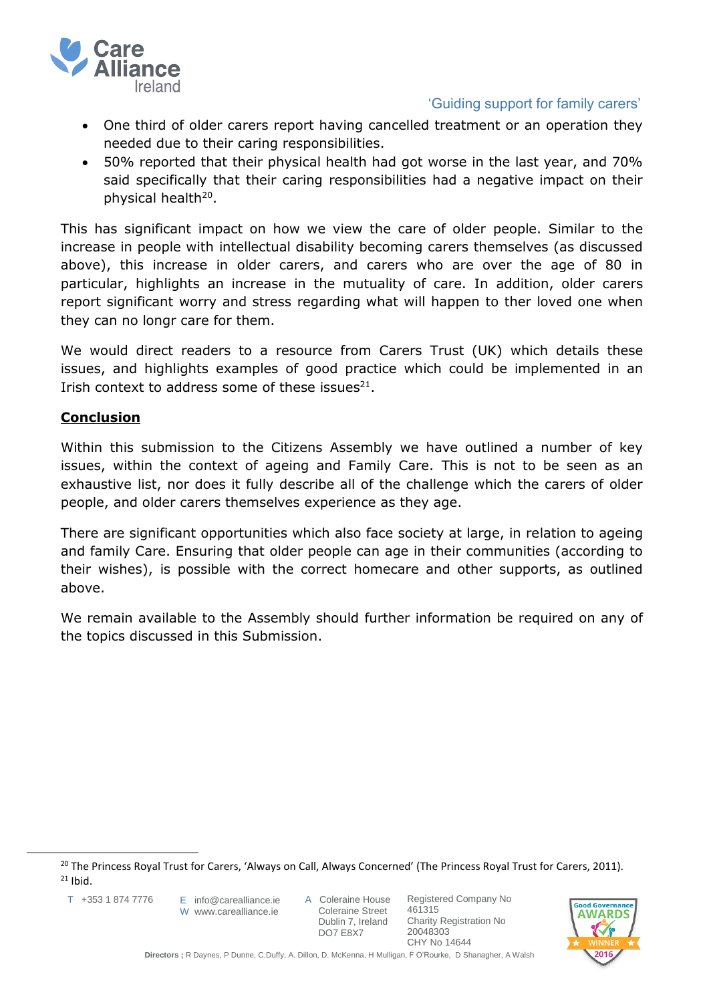

- One third of older carers report having cancelled treatment or an operation they needed due to their caring responsibilities.
- 50% reported that their physical health had got worse in the last year, and 70% said specifically that their caring responsibilities had a negative impact on their physical health<sup>20</sup>.

This has significant impact on how we view the care of older people. Similar to the increase in people with intellectual disability becoming carers themselves (as discussed above), this increase in older carers, and carers who are over the age of 80 in particular, highlights an increase in the mutuality of care. In addition, older carers report significant worry and stress regarding what will happen to ther loved one when they can no longr care for them.

We would direct readers to a resource from Carers Trust (UK) which details these issues, and highlights examples of good practice which could be implemented in an Irish context to address some of these issues $^{21}$ .

# **Conclusion**

Within this submission to the Citizens Assembly we have outlined a number of key issues, within the context of ageing and Family Care. This is not to be seen as an exhaustive list, nor does it fully describe all of the challenge which the carers of older people, and older carers themselves experience as they age.

There are significant opportunities which also face society at large, in relation to ageing and family Care. Ensuring that older people can age in their communities (according to their wishes), is possible with the correct homecare and other supports, as outlined above.

We remain available to the Assembly should further information be required on any of the topics discussed in this Submission.

```
T +353 1 874 7776
```
 $\ddot{\phantom{a}}$ 

 $E$  info@carealliance.ie W www.carealliance.je A Coleraine House Coleraine Street Dublin 7, Ireland DO7 E8X7



<sup>&</sup>lt;sup>20</sup> The Princess Royal Trust for Carers, 'Always on Call, Always Concerned' (The Princess Royal Trust for Carers, 2011).  $21$  Ibid.